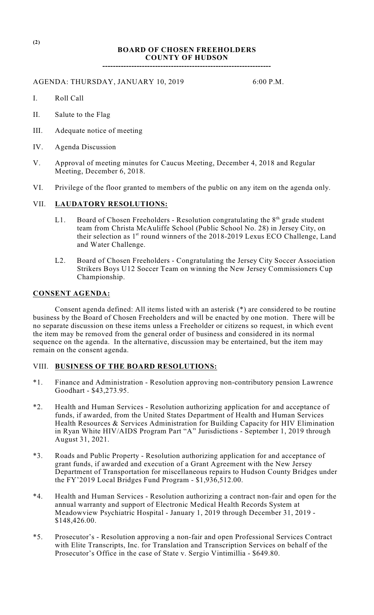# **BOARD OF CHOSEN FREEHOLDERS COUNTY OF HUDSON**

**----------------------------------------------------------------**

### AGENDA: THURSDAY, JANUARY 10, 2019 6:00 P.M.

- I. Roll Call
- II. Salute to the Flag
- III. Adequate notice of meeting
- IV. Agenda Discussion
- V. Approval of meeting minutes for Caucus Meeting, December 4, 2018 and Regular Meeting, December 6, 2018.
- VI. Privilege of the floor granted to members of the public on any item on the agenda only.

#### VII. **LAUDATORY RESOLUTIONS:**

- L1. Board of Chosen Freeholders Resolution congratulating the  $8<sup>th</sup>$  grade student team from Christa McAuliffe School (Public School No. 28) in Jersey City, on their selection as  $1<sup>st</sup>$  round winners of the 2018-2019 Lexus ECO Challenge, Land and Water Challenge.
- L2. Board of Chosen Freeholders Congratulating the Jersey City Soccer Association Strikers Boys U12 Soccer Team on winning the New Jersey Commissioners Cup Championship.

## **CONSENT AGENDA:**

Consent agenda defined: All items listed with an asterisk (\*) are considered to be routine business by the Board of Chosen Freeholders and will be enacted by one motion. There will be no separate discussion on these items unless a Freeholder or citizens so request, in which event the item may be removed from the general order of business and considered in its normal sequence on the agenda. In the alternative, discussion may be entertained, but the item may remain on the consent agenda.

# VIII. **BUSINESS OF THE BOARD RESOLUTIONS:**

- \*1. Finance and Administration Resolution approving non-contributory pension Lawrence Goodhart - \$43,273.95.
- \*2. Health and Human Services Resolution authorizing application for and acceptance of funds, if awarded, from the United States Department of Health and Human Services Health Resources & Services Administration for Building Capacity for HIV Elimination in Ryan White HIV/AIDS Program Part "A" Jurisdictions - September 1, 2019 through August 31, 2021.
- \*3. Roads and Public Property Resolution authorizing application for and acceptance of grant funds, if awarded and execution of a Grant Agreement with the New Jersey Department of Transportation for miscellaneous repairs to Hudson County Bridges under the FY'2019 Local Bridges Fund Program - \$1,936,512.00.
- \*4. Health and Human Services Resolution authorizing a contract non-fair and open for the annual warranty and support of Electronic Medical Health Records System at Meadowview Psychiatric Hospital - January 1, 2019 through December 31, 2019 - \$148,426.00.
- \*5. Prosecutor's Resolution approving a non-fair and open Professional Services Contract with Elite Transcripts, Inc. for Translation and Transcription Services on behalf of the Prosecutor's Office in the case of State v. Sergio Vintimillia - \$649.80.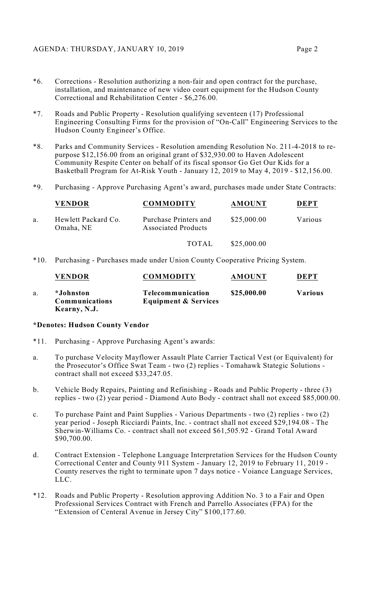- \*6. Corrections Resolution authorizing a non-fair and open contract for the purchase, installation, and maintenance of new video court equipment for the Hudson County Correctional and Rehabilitation Center - \$6,276.00.
- \*7. Roads and Public Property Resolution qualifying seventeen (17) Professional Engineering Consulting Firms for the provision of "On-Call" Engineering Services to the Hudson County Engineer's Office.
- \*8. Parks and Community Services Resolution amending Resolution No. 211-4-2018 to repurpose \$12,156.00 from an original grant of \$32,930.00 to Haven Adolescent Community Respite Center on behalf of its fiscal sponsor Go Get Our Kids for a Basketball Program for At-Risk Youth - January 12, 2019 to May 4, 2019 - \$12,156.00.
- \*9. Purchasing Approve Purchasing Agent's award, purchases made under State Contracts:

|    | <b>VENDOR</b>                    | <b>COMMODITY</b>                                    | <b>AMOUNT</b> | DEPT    |
|----|----------------------------------|-----------------------------------------------------|---------------|---------|
| a. | Hewlett Packard Co.<br>Omaha, NE | Purchase Printers and<br><b>Associated Products</b> | \$25,000.00   | Various |
|    |                                  | <b>TOTAL</b>                                        | \$25,000.00   |         |

\*10. Purchasing - Purchases made under Union County Cooperative Pricing System.

|    | <b>VENDOR</b>                                      | <b>COMMODITY</b>                                     | <b>AMOUNT</b> | DEPT           |
|----|----------------------------------------------------|------------------------------------------------------|---------------|----------------|
| a. | *Johnston<br><b>Communications</b><br>Kearny, N.J. | Telecommunication<br><b>Equipment &amp; Services</b> | \$25,000.00   | <b>Various</b> |

#### **\*Denotes: Hudson County Vendor**

- \*11. Purchasing Approve Purchasing Agent's awards:
- a. To purchase Velocity Mayflower Assault Plate Carrier Tactical Vest (or Equivalent) for the Prosecutor's Office Swat Team - two (2) replies - Tomahawk Stategic Solutions contract shall not exceed \$33,247.05.
- b. Vehicle Body Repairs, Painting and Refinishing Roads and Public Property three (3) replies - two (2) year period - Diamond Auto Body - contract shall not exceed \$85,000.00.
- c. To purchase Paint and Paint Supplies Various Departments two (2) replies two (2) year period - Joseph Ricciardi Paints, Inc. - contract shall not exceed \$29,194.08 - The Sherwin-Williams Co. - contract shall not exceed \$61,505.92 - Grand Total Award \$90,700.00.
- d. Contract Extension Telephone Language Interpretation Services for the Hudson County Correctional Center and County 911 System - January 12, 2019 to February 11, 2019 - County reserves the right to terminate upon 7 days notice - Voiance Language Services, LLC.
- \*12. Roads and Public Property Resolution approving Addition No. 3 to a Fair and Open Professional Services Contract with French and Parrello Associates (FPA) for the "Extension of Centeral Avenue in Jersey City" \$100,177.60.